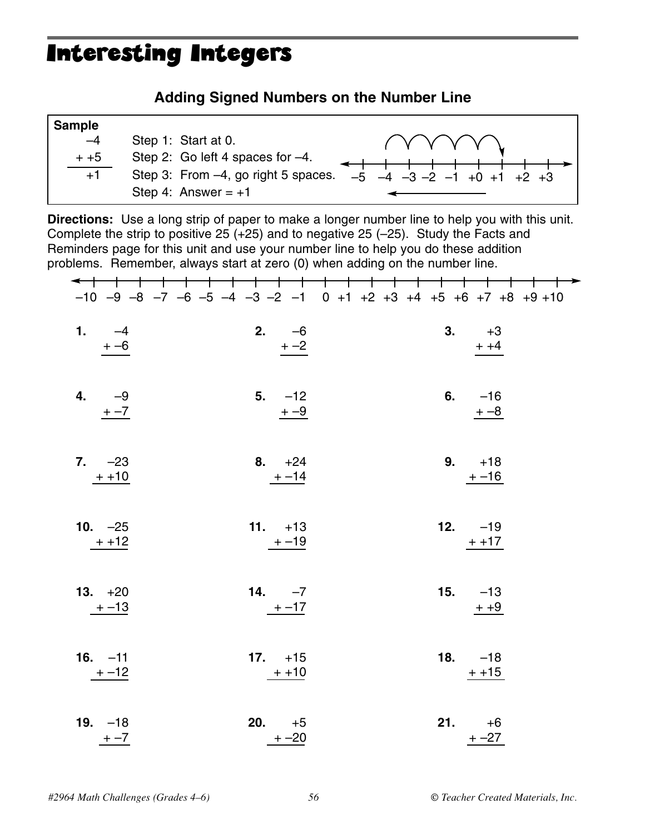## Interesting Integers

### **Adding Signed Numbers on the Number Line**

| <b>Sample</b> |                                     |                                              |
|---------------|-------------------------------------|----------------------------------------------|
| $-4$          | Step 1: Start at 0.                 | ( Y Y Y Y Y Y                                |
| $+ +5$        | Step 2: Go left 4 spaces for -4.    |                                              |
| $+1$          | Step 3: From -4, go right 5 spaces. | $-5$ $-4$ $-3$ $-2$ $-1$ $+0$ $+1$ $+2$ $+3$ |
|               | Step 4: Answer = $+1$               |                                              |

**Directions:** Use a long strip of paper to make a longer number line to help you with this unit. Complete the strip to positive 25  $(+25)$  and to negative 25  $(-25)$ . Study the Facts and Reminders page for this unit and use your number line to help you do these addition problems. Remember, always start at zero (0) when adding on the number line.

|                   |                 | ┶<br>$-10$ $-9$ $-8$ $-7$ $-6$ $-5$ $-4$ $-3$ $-2$ $-1$ 0 $+1$ $+2$ $+3$ $+4$ $+5$ $+6$ $+7$ $+8$ $+9$ $+10$ |
|-------------------|-----------------|--------------------------------------------------------------------------------------------------------------|
| 1. $-4$<br>$+ -6$ | 2. $-6$<br>$+2$ | 3. $+3$<br>$+ +4$                                                                                            |
| 4. $-9$           | $5. -12$        | 6. $-16$                                                                                                     |
| $+ -7$            | $+$ -9          | $+ -8$                                                                                                       |
| $7. -23$          | 8. $+24$        | 9. $+18$                                                                                                     |
| $+ +10$           | $+ -14$         | $+ -16$                                                                                                      |
| 10. $-25$         | $11. +13$       | 12. $-19$                                                                                                    |
| $++12$            | $+ -19$         | $+ +17$                                                                                                      |
| 13. $+20$         | 14. $-7$        | 15. $-13$                                                                                                    |
| $+ -13$           | $+ -17$         | $+ +9$                                                                                                       |
| 16. $-11$         | 17. $+15$       | 18. $-18$                                                                                                    |
| $+ -12$           | $++10$          | $+ + 15$                                                                                                     |
| 19. $-18$         | <b>20.</b> $+5$ | <b>21.</b> $+6$                                                                                              |
| $+ -7$            | $+ -20$         | $+ -27$                                                                                                      |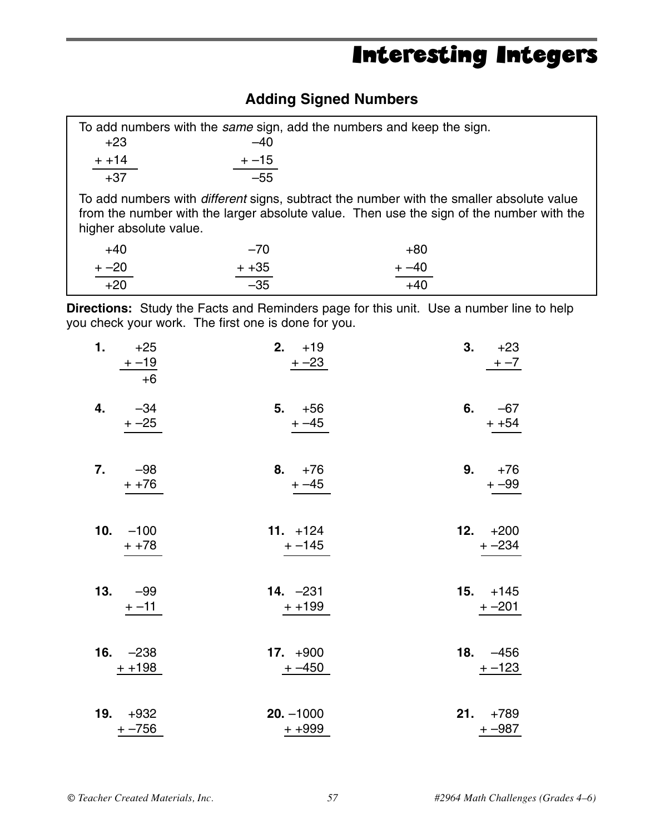# Interesting Integers

### **Adding Signed Numbers**

| $+23$                                                                                                                                                                                                                 | $-40$            | To add numbers with the same sign, add the numbers and keep the sign. |  |
|-----------------------------------------------------------------------------------------------------------------------------------------------------------------------------------------------------------------------|------------------|-----------------------------------------------------------------------|--|
| $+ + 14$<br>$+37$                                                                                                                                                                                                     | $+ -15$<br>$-55$ |                                                                       |  |
| To add numbers with <i>different</i> signs, subtract the number with the smaller absolute value<br>from the number with the larger absolute value. Then use the sign of the number with the<br>higher absolute value. |                  |                                                                       |  |
| $+40$                                                                                                                                                                                                                 | $-70$            | $+80$                                                                 |  |
| $+ -20$                                                                                                                                                                                                               | $+ +35$          | $+ -40$                                                               |  |
| $+20$                                                                                                                                                                                                                 | $-35$            | $+40$                                                                 |  |

**Directions:** Study the Facts and Reminders page for this unit. Use a number line to help you check your work. The first one is done for you.

| 1.  | $+25$<br>$+ -19$<br>$+6$ | 2. $+19$<br>$+ -23$      | 3. | $+23$<br>$+ -7$         |
|-----|--------------------------|--------------------------|----|-------------------------|
| 4.  | $-34$<br>$+ -25$         | 5. $+56$<br>$+ -45$      |    | 6. $-67$<br>$+ +54$     |
| 7.  | $-98$<br>$+ +76$         | 8. $+76$<br>$+ -45$      |    | 9. $+76$<br>$+ -99$     |
|     | 10. $-100$<br>$+ +78$    | $11. + 124$<br>+ -145    |    | 12. $+200$<br>$+ -234$  |
| 13. | -99<br>$+ -11$           | 14. $-231$<br>$++199$    |    | $15. + 145$<br>$+ -201$ |
|     | 16. $-238$<br>$+ + 198$  | 17. $+900$<br>$+ -450$   |    | 18. $-456$<br>$+ -123$  |
|     | 19. $+932$<br>$+ -756$   | $20. -1000$<br>$+ + 999$ |    | $21. +789$<br>$+ -987$  |